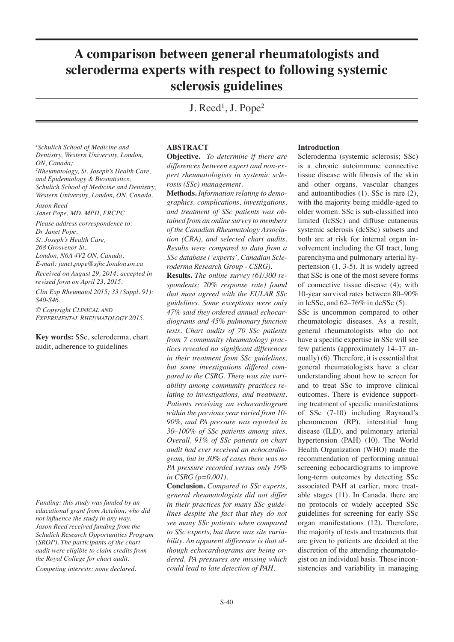# **A comparison between general rheumatologists and scleroderma experts with respect to following systemic sclerosis guidelines**

J. Reed<sup>1</sup>, J. Pope<sup>2</sup>

*1 Schulich School of Medicine and Dentistry, Western University, London, ON, Canada; 2 Rheumatology, St. Joseph's Health Care, and Epidemiology & Biostatistics, Schulich School of Medicine and Dentistry, Western University, London, ON, Canada.*

*Jason Reed Janet Pope, MD, MPH, FRCPC*

*Please address correspondence to: Dr Janet Pope, St. Joseph's Health Care, 268 Grosvenor St., London, N6A 4V2 ON, Canada. E-mail: janet.pope@sjhc.london.on.ca*

*Received on August 29, 2014; accepted in revised form on April 23, 2015.*

*Clin Exp Rheumatol 2015; 33 (Suppl. 91): S40-S46.*

*© Copyright Clinical and Experimental Rheumatology 2015.*

**Key words:** SSc, scleroderma, chart audit, adherence to guidelines

*Funding: this study was funded by an educational grant from Actelion, who did not influence the study in any way. Jason Reed received funding from the Schulich Research Opportunities Program (SROP). The participants of the chart audit were eligible to claim credits from the Royal College for chart audit*.

*Competing interests: none declared.*

### **ABSTRACT**

**Objective.** *To determine if there are differences between expert and non-expert rheumatologists in systemic sclerosis (SSc) management.*

**Methods.** *Information relating to demographics, complications, investigations, and treatment of SSc patients was obtained from an online survey to members of the Canadian Rheumatology Association (CRA), and selected chart audits. Results were compared to data from a SSc database ('experts', Canadian Scleroderma Research Group - CSRG).*

**Results.** *The online survey (61/300 respondents; 20% response rate) found that most agreed with the EULAR SSc guidelines. Some exceptions were only 47% said they ordered annual echocardiograms and 45% pulmonary function tests. Chart audits of 70 SSc patients from 7 community rheumatology practices revealed no significant differences in their treatment from SSc guidelines, but some investigations differed compared to the CSRG. There was site variability among community practices relating to investigations, and treatment. Patients receiving an echocardiogram within the previous year varied from 10- 90%, and PA pressure was reported in 30–100% of SSc patients among sites. Overall, 91% of SSc patients on chart audit had ever received an echocardiogram, but in 30% of cases there was no PA pressure recorded versus only 19% in CSRG (p=0.001).*

**Conclusion.** *Compared to SSc experts, general rheumatologists did not differ in their practices for many SSc guidelines despite the fact that they do not see many SSc patients when compared to SSc experts, but there was site variability. An apparent difference is that although echocardiograms are being ordered, PA pressures are missing which could lead to late detection of PAH.* 

### **Introduction**

Scleroderma (systemic sclerosis; SSc) is a chronic autoimmune connective tissue disease with fibrosis of the skin and other organs, vascular changes and autoantibodies (1). SSc is rare (2), with the majority being middle-aged to older women. SSc is sub-classified into limited (lcSSc) and diffuse cutaneous systemic sclerosis (dcSSc) subsets and both are at risk for internal organ involvement including the GI tract, lung parenchyma and pulmonary arterial hypertension (1, 3-5). It is widely agreed that SSc is one of the most severe forms of connective tissue disease (4); with 10-year survival rates between 80–90% in lcSSc, and  $62-76\%$  in dcSSc  $(5)$ .

SSc is uncommon compared to other rheumatologic diseases. As a result, general rheumatologists who do not have a specific expertise in SSc will see few patients (approximately 14–17 annually) (6). Therefore, it is essential that general rheumatologists have a clear understanding about how to screen for and to treat SSc to improve clinical outcomes. There is evidence supporting treatment of specific manifestations of SSc (7-10) including Raynaud's phenomenon (RP), interstitial lung disease (ILD), and pulmonary arterial hypertension (PAH) (10). The World Health Organization (WHO) made the recommendation of performing annual screening echocardiograms to improve long-term outcomes by detecting SSc associated PAH at earlier, more treatable stages (11). In Canada, there are no protocols or widely accepted SSc guidelines for screening for early SSc organ manifestations (12). Therefore, the majority of tests and treatments that are given to patients are decided at the discretion of the attending rheumatologist on an individual basis. These inconsistencies and variability in managing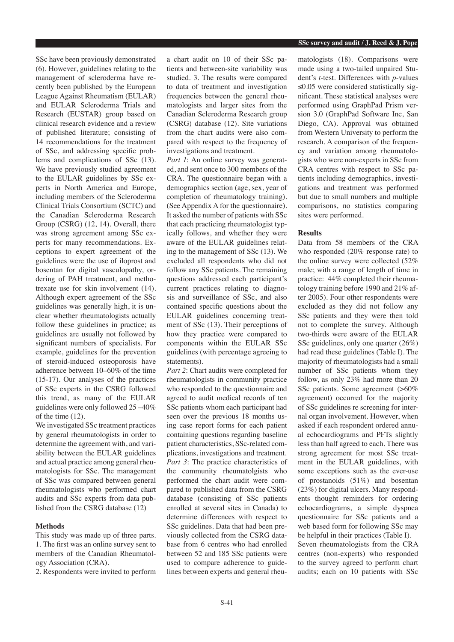SSc have been previously demonstrated (6). However, guidelines relating to the management of scleroderma have recently been published by the European League Against Rheumatism (EULAR) and EULAR Scleroderma Trials and Research (EUSTAR) group based on clinical research evidence and a review of published literature; consisting of 14 recommendations for the treatment of SSc, and addressing specific problems and complications of SSc (13). We have previously studied agreement to the EULAR guidelines by SSc experts in North America and Europe, including members of the Scleroderma Clinical Trials Consortium (SCTC) and the Canadian Scleroderma Research Group (CSRG) (12, 14). Overall, there was strong agreement among SSc experts for many recommendations. Exceptions to expert agreement of the guidelines were the use of iloprost and bosentan for digital vasculopathy, ordering of PAH treatment, and methotrexate use for skin involvement (14). Although expert agreement of the SSc guidelines was generally high, it is unclear whether rheumatologists actually follow these guidelines in practice; as guidelines are usually not followed by significant numbers of specialists. For example, guidelines for the prevention of steroid-induced osteoporosis have adherence between 10–60% of the time (15-17). Our analyses of the practices of SSc experts in the CSRG followed this trend, as many of the EULAR guidelines were only followed 25 –40% of the time (12).

We investigated SSc treatment practices by general rheumatologists in order to determine the agreement with, and variability between the EULAR guidelines and actual practice among general rheumatologists for SSc. The management of SSc was compared between general rheumatologists who performed chart audits and SSc experts from data published from the CSRG database (12)

# **Methods**

This study was made up of three parts. 1. The first was an online survey sent to members of the Canadian Rheumatology Association (CRA).

2. Respondents were invited to perform

a chart audit on 10 of their SSc patients and between-site variability was studied. 3. The results were compared to data of treatment and investigation frequencies between the general rheumatologists and larger sites from the Canadian Scleroderma Research group (CSRG) database (12). Site variations from the chart audits were also compared with respect to the frequency of investigations and treatment.

*Part 1*: An online survey was generated, and sent once to 300 members of the CRA. The questionnaire began with a demographics section (age, sex, year of completion of rheumatology training). (See Appendix A for the questionnaire). It asked the number of patients with SSc that each practicing rheumatologist typically follows, and whether they were aware of the EULAR guidelines relating to the management of SSc (13). We excluded all respondents who did not follow any SSc patients. The remaining questions addressed each participant's current practices relating to diagnosis and surveillance of SSc, and also contained specific questions about the EULAR guidelines concerning treatment of SSc (13). Their perceptions of how they practice were compared to components within the EULAR SSc guidelines (with percentage agreeing to statements).

*Part 2*: Chart audits were completed for rheumatologists in community practice who responded to the questionnaire and agreed to audit medical records of ten SSc patients whom each participant had seen over the previous 18 months using case report forms for each patient containing questions regarding baseline patient characteristics, SSc-related complications, investigations and treatment. *Part 3*: The practice characteristics of the community rheumatolgists who performed the chart audit were compared to published data from the CSRG database (consisting of SSc patients enrolled at several sites in Canada) to determine differences with respect to SSc guidelines. Data that had been previously collected from the CSRG database from 6 centres who had enrolled between 52 and 185 SSc patients were used to compare adherence to guidelines between experts and general rheumatologists (18). Comparisons were made using a two-tailed unpaired Student's *t*-test. Differences with *p*-values  $≤0.05$  were considered statistically significant. These statistical analyses were performed using GraphPad Prism version 3.0 (GraphPad Software Inc, San Diego, CA). Approval was obtained from Western University to perform the research. A comparison of the frequency and variation among rheumatologists who were non-experts in SSc from CRA centres with respect to SSc patients including demographics, investigations and treatment was performed but due to small numbers and multiple comparisons, no statistics comparing sites were performed.

# **Results**

Data from 58 members of the CRA who responded (20% response rate) to the online survey were collected (52% male; with a range of length of time in practice: 44% completed their rheumatology training before 1990 and 21% after 2005). Four other respondents were excluded as they did not follow any SSc patients and they were then told not to complete the survey. Although two-thirds were aware of the EULAR SSc guidelines, only one quarter (26%) had read these guidelines (Table I). The majority of rheumatologists had a small number of SSc patients whom they follow, as only 23% had more than 20 SSc patients. Some agreement (>60% agreement) occurred for the majority of SSc guidelines re screening for internal organ involvement. However, when asked if each respondent ordered annual echocardiograms and PFTs slightly less than half agreed to each. There was strong agreement for most SSc treatment in the EULAR guidelines, with some exceptions such as the ever-use of prostanoids (51%) and bosentan (23%) for digital ulcers. Many respondents thought reminders for ordering echocardiograms, a simple dyspnea questionnaire for SSc patients and a web based form for following SSc may be helpful in their practices (Table I). Seven rheumatologists from the CRA centres (non-experts) who responded to the survey agreed to perform chart audits; each on 10 patients with SSc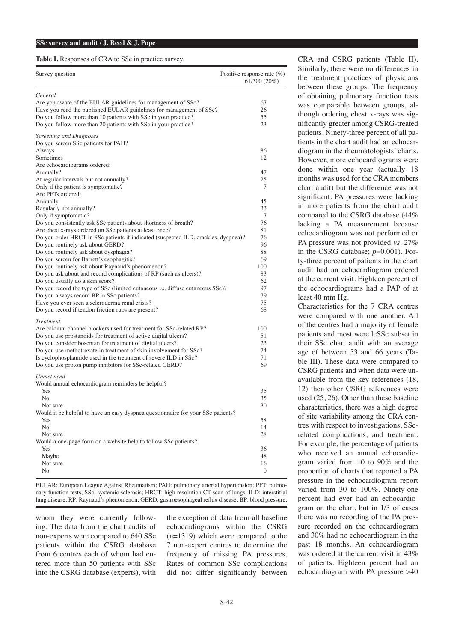Table I. Responses of CRA to SSc in practice survey.

| Survey question                                                                    | Positive response rate $(\%)$<br>61/300 (20%) |
|------------------------------------------------------------------------------------|-----------------------------------------------|
| General                                                                            |                                               |
| Are you aware of the EULAR guidelines for management of SSc?                       | 67                                            |
| Have you read the published EULAR guidelines for management of SSc?                | 26                                            |
| Do you follow more than 10 patients with SSc in your practice?                     | 55                                            |
| Do you follow more than 20 patients with SSc in your practice?                     | 23                                            |
|                                                                                    |                                               |
| Screening and Diagnoses                                                            |                                               |
| Do you screen SSc patients for PAH?                                                |                                               |
| Always                                                                             | 86                                            |
| Sometimes                                                                          | 12                                            |
| Are echocardiograms ordered:                                                       |                                               |
| Annually?                                                                          | 47                                            |
| At regular intervals but not annually?                                             | 25                                            |
| Only if the patient is symptomatic?                                                | 7                                             |
| Are PFTs ordered:                                                                  |                                               |
| Annually                                                                           | 45                                            |
| Regularly not annually?                                                            | 33                                            |
| Only if symptomatic?                                                               | 7                                             |
| Do you consistently ask SSc patients about shortness of breath?                    | 76                                            |
| Are chest x-rays ordered on SSc patients at least once?                            | 81                                            |
| Do you order HRCT in SSc patients if indicated (suspected ILD, crackles, dyspnea)? | 76                                            |
| Do you routinely ask about GERD?                                                   | 96                                            |
| Do you routinely ask about dysphagia?                                              | 88                                            |
| Do you screen for Barrett's esophagitis?                                           | 69                                            |
| Do you routinely ask about Raynaud's phenomenon?                                   | 100                                           |
| Do you ask about and record complications of RP (such as ulcers)?                  | 83                                            |
| Do you usually do a skin score?                                                    | 62                                            |
| Do you record the type of SSc (limited cutaneous vs. diffuse cutaneous SSc)?       | 97                                            |
| Do you always record BP in SSc patients?                                           | 79                                            |
| Have you ever seen a scleroderma renal crisis?                                     | 75                                            |
| Do you record if tendon friction rubs are present?                                 | 68                                            |
| <b>Treatment</b>                                                                   |                                               |
| Are calcium channel blockers used for treatment for SSc-related RP?                | 100                                           |
| Do you use prostanoids for treatment of active digital ulcers?                     | 51                                            |
| Do you consider bosentan for treatment of digital ulcers?                          | 23                                            |
| Do you use methotrexate in treatment of skin involvement for SSc?                  | 74                                            |
| Is cyclophosphamide used in the treatment of severe ILD in SSc?                    | 71                                            |
| Do you use proton pump inhibitors for SSc-related GERD?                            | 69                                            |
|                                                                                    |                                               |
| Unmet need                                                                         |                                               |
| Would annual echocardiogram reminders be helpful?                                  |                                               |
| Yes                                                                                | 35                                            |
| N <sub>o</sub>                                                                     | 35                                            |
| Not sure                                                                           | 30                                            |
| Would it be helpful to have an easy dyspnea questionnaire for your SSc patients?   |                                               |
| Yes                                                                                | 58                                            |
| No                                                                                 | 14                                            |
| Not sure                                                                           | 28                                            |
| Would a one-page form on a website help to follow SSc patients?                    |                                               |
| Yes                                                                                | 36                                            |
| Maybe                                                                              | 48                                            |
| Not sure                                                                           | 16                                            |
| No                                                                                 | $\boldsymbol{0}$                              |

EULAR: European League Against Rheumatism; PAH: pulmonary arterial hypertension; PFT: pulmonary function tests; SSc: systemic sclerosis; HRCT: high resolution CT scan of lungs; ILD: interstitial lung disease; RP: Raynaud's phenomenon; GERD: gastroesophageal reflux disease; BP: blood pressure.

whom they were currently following. The data from the chart audits of non-experts were compared to 640 SSc patients within the CSRG database from 6 centres each of whom had entered more than 50 patients with SSc into the CSRG database (experts), with

the exception of data from all baseline echocardiograms within the CSRG (n=1319) which were compared to the 7 non-expert centres to determine the frequency of missing PA pressures. Rates of common SSc complications did not differ significantly between

CRA and CSRG patients (Table II). Similarly, there were no differences in the treatment practices of physicians between these groups. The frequency of obtaining pulmonary function tests was comparable between groups, although ordering chest x-rays was significantly greater among CSRG-treated patients. Ninety-three percent of all patients in the chart audit had an echocardiogram in the rheumatologists' charts. However, more echocardiograms were done within one year (actually 18 months was used for the CRA members chart audit) but the difference was not significant. PA pressures were lacking in more patients from the chart audit compared to the CSRG database (44% lacking a PA measurement because echocardiogram was not performed or PA pressure was not provided *vs.* 27% in the CSRG database;  $p=0.001$ ). Forty-three percent of patients in the chart audit had an echocardiogram ordered at the current visit. Eighteen percent of the echocardiograms had a PAP of at least 40 mm Hg.

Characteristics for the 7 CRA centres were compared with one another. All of the centres had a majority of female patients and most were lcSSc subset in their SSc chart audit with an average age of between 53 and 66 years (Table III). These data were compared to CSRG patients and when data were unavailable from the key references (18, 12) then other CSRG references were used (25, 26). Other than these baseline characteristics, there was a high degree of site variability among the CRA centres with respect to investigations, SScrelated complications, and treatment. For example, the percentage of patients who received an annual echocardiogram varied from 10 to 90% and the proportion of charts that reported a PA pressure in the echocardiogram report varied from 30 to 100%. Ninety-one percent had ever had an echocardiogram on the chart, but in 1/3 of cases there was no recording of the PA pressure recorded on the echocardiogram and 30% had no echocardiogram in the past 18 months. An echocardiogram was ordered at the current visit in 43% of patients. Eighteen percent had an echocardiogram with PA pressure >40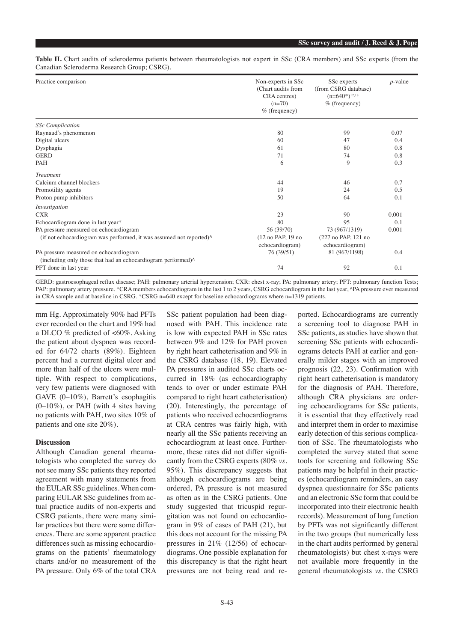Table II. Chart audits of scleroderma patients between rheumatologists not expert in SSc (CRA members) and SSc experts (from the Canadian Scleroderma Research Group; CSRG).

| Practice comparison                                                      | Non-experts in SSc<br>(Chart audits from<br>CRA centres)<br>$(n=70)$<br>$%$ (frequency) | SSc experts<br>(from CSRG database)<br>$(n=640*)^{12,18}$<br>$%$ (frequency) | $p$ -value |
|--------------------------------------------------------------------------|-----------------------------------------------------------------------------------------|------------------------------------------------------------------------------|------------|
| <b>SSc</b> Complication                                                  |                                                                                         |                                                                              |            |
| Raynaud's phenomenon                                                     | 80                                                                                      | 99                                                                           | 0.07       |
| Digital ulcers                                                           | 60                                                                                      | 47                                                                           | 0.4        |
| Dysphagia                                                                | 61                                                                                      | 80                                                                           | 0.8        |
| <b>GERD</b>                                                              | 71                                                                                      | 74                                                                           | 0.8<br>0.3 |
| PAH                                                                      | 6                                                                                       | 9                                                                            |            |
| <b>Treatment</b>                                                         |                                                                                         |                                                                              |            |
| Calcium channel blockers                                                 | 44                                                                                      | 46                                                                           | 0.7        |
| Promotility agents                                                       | 19                                                                                      | 24                                                                           | 0.5        |
| Proton pump inhibitors                                                   | 50                                                                                      | 64                                                                           | 0.1        |
| Investigation                                                            |                                                                                         |                                                                              |            |
| <b>CXR</b>                                                               | 23                                                                                      | 90                                                                           | 0.001      |
| Echocardiogram done in last year*                                        | 80                                                                                      | 95                                                                           | 0.1        |
| PA pressure measured on echocardiogram                                   | 56 (39/70)                                                                              | 73 (967/1319)                                                                | 0.001      |
| (if not echocardiogram was performed, it was assumed not reported)^      | (12 no PAP, 19 no<br>echocardiogram)                                                    | (227 no PAP, 121 no<br>echocardiogram)                                       |            |
| PA pressure measured on echocardiogram                                   | 76 (39/51)                                                                              | 81 (967/1198)                                                                | 0.4        |
| (including only those that had an echocardiogram performed) <sup>^</sup> |                                                                                         |                                                                              |            |
| PFT done in last year                                                    | 74                                                                                      | 92                                                                           | 0.1        |

GERD: gastroesophageal reflux disease; PAH: pulmonary arterial hypertension; CXR: chest x-ray; PA: pulmonary artery; PFT: pulmonary function Tests; PAP: pulmonary artery pressure. \*CRA members echocardiogram in the last 1 to 2 years, CSRG echocardiogram in the last year, ^PA pressure ever measured in CRA sample and at baseline in CSRG. \*CSRG n=640 except for baseline echocardiograms where n=1319 patients.

mm Hg. Approximately 90% had PFTs ever recorded on the chart and 19% had a DLCO  $%$  predicted of <60%. Asking the patient about dyspnea was recorded for 64/72 charts (89%). Eighteen percent had a current digital ulcer and more than half of the ulcers were multiple. With respect to complications, very few patients were diagnosed with GAVE (0–10%), Barrett's esophagitis  $(0-10\%)$ , or PAH (with 4 sites having no patients with PAH, two sites 10% of patients and one site 20%).

## **Discussion**

Although Canadian general rheumatologists who completed the survey do not see many SSc patients they reported agreement with many statements from the EULAR SSc guidelines. When comparing EULAR SSc guidelines from actual practice audits of non-experts and CSRG patients, there were many similar practices but there were some differences. There are some apparent practice differences such as missing echocardiograms on the patients' rheumatology charts and/or no measurement of the PA pressure. Only 6% of the total CRA

SSc patient population had been diagnosed with PAH. This incidence rate is low with expected PAH in SSc rates between 9% and 12% for PAH proven by right heart catheterisation and 9% in the CSRG database (18, 19). Elevated PA pressures in audited SSc charts occurred in 18% (as echocardiography tends to over or under estimate PAH compared to right heart catheterisation) (20). Interestingly, the percentage of patients who received echocardiograms at CRA centres was fairly high, with nearly all the SSc patients receiving an echocardiogram at least once. Furthermore, these rates did not differ significantly from the CSRG experts (80% *vs*. 95%). This discrepancy suggests that although echocardiograms are being ordered, PA pressure is not measured as often as in the CSRG patients. One study suggested that tricuspid regurgitation was not found on echocardiogram in 9% of cases of PAH (21), but this does not account for the missing PA pressures in 21% (12/56) of echocardiograms. One possible explanation for this discrepancy is that the right heart pressures are not being read and reported. Echocardiograms are currently a screening tool to diagnose PAH in SSc patients, as studies have shown that screening SSc patients with echocardiograms detects PAH at earlier and generally milder stages with an improved prognosis (22, 23). Confirmation with right heart catheterisation is mandatory for the diagnosis of PAH. Therefore, although CRA physicians are ordering echocardiograms for SSc patients, it is essential that they effectively read and interpret them in order to maximise early detection of this serious complication of SSc. The rheumatologists who completed the survey stated that some tools for screening and following SSc patients may be helpful in their practices (echocardiogram reminders, an easy dyspnea questionnaire for SSc patients and an electronic SSc form that could be incorporated into their electronic health records). Measurement of lung function by PFTs was not significantly different in the two groups (but numerically less in the chart audits performed by general rheumatologists) but chest x-rays were not available more frequently in the general rheumatologists *vs*. the CSRG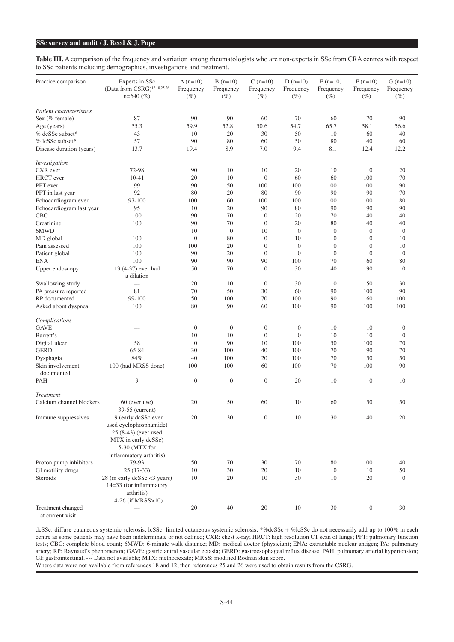## **SSc survey and audit / J. Reed & J. Pope**

Table III. A comparison of the frequency and variation among rheumatologists who are non-experts in SSc from CRA centres with respect to SSc patients including demographics, investigations and treatment.

| Practice comparison      | Experts in SSc                          | $A(n=10)$        | $B(n=10)$        | $C(n=10)$        | $D(n=10)$        | $E(n=10)$        | $F(n=10)$        | $G(n=10)$      |
|--------------------------|-----------------------------------------|------------------|------------------|------------------|------------------|------------------|------------------|----------------|
|                          | (Data from CSRG) <sup>12,18,25,26</sup> | Frequency        | Frequency        | Frequency        | Frequency        | Frequency        | Frequency        | Frequency      |
|                          | $n=640$ (%)                             | $(\%)$           | $(\%)$           | $(\%)$           | $(\%)$           | $(\%)$           | $(\%)$           | $(\%)$         |
| Patient characteristics  |                                         |                  |                  |                  |                  |                  |                  |                |
| Sex (% female)           | 87                                      | 90               | 90               | 60               | 70               | 60               | 70               | 90             |
| Age (years)              | 55.3                                    | 59.9             | 52.8             | 50.6             | 54.7             | 65.7             | 58.1             | 56.6           |
| % dcSSc subset*          | 43                                      | 10               | 20               | 30               | 50               | 10               | 60               | 40             |
| % lcSSc subset*          | 57                                      | 90               | 80               | 60               | 50               | 80               | 40               | 60             |
| Disease duration (years) | 13.7                                    | 19.4             | 8.9              | 7.0              | 9.4              | 8.1              | 12.4             | 12.2           |
| Investigation            |                                         |                  |                  |                  |                  |                  |                  |                |
| CXR ever                 | 72-98                                   | 90               | 10               | 10               | 20               | 10               | $\boldsymbol{0}$ | 20             |
| HRCT ever                | $10 - 41$                               | 20               | 10               | $\mathbf{0}$     | 60               | 60               | 100              | 70             |
| PFT ever                 | 99                                      | 90               | 50               | 100              | 100              | 100              | 100              | 90             |
| PFT in last year         | 92                                      | 80               | 20               | 80               | 90               | 90               | 90               | 70             |
| Echocardiogram ever      | 97-100                                  | 100              | 60               | 100              | 100              | 100              | 100              | 80             |
| Echocardiogram last year | 95                                      | 10               | 20               | 90               | 80               | 90               | 90               | 90             |
| <b>CBC</b>               | 100                                     | 90               | 70               | $\boldsymbol{0}$ | 20               | 70               | 40               | 40             |
| Creatinine               | 100                                     | 90               | 70               | $\boldsymbol{0}$ | 20               | 80               | 40               | 40             |
| 6MWD                     |                                         | 10               | $\mathbf{0}$     | 10               | $\mathbf{0}$     | $\mathbf{0}$     | $\mathbf{0}$     | $\mathbf{0}$   |
|                          | 100                                     | $\boldsymbol{0}$ | 80               | $\boldsymbol{0}$ | 10               | $\boldsymbol{0}$ | $\mathbf{0}$     | 10             |
| MD global                | 100                                     |                  |                  | $\mathbf{0}$     | $\mathbf{0}$     | $\mathbf{0}$     | $\mathbf{0}$     | 10             |
| Pain assessed            |                                         | 100              | 20               |                  |                  |                  |                  |                |
| Patient global           | 100                                     | 90               | 20               | $\mathbf{0}$     | $\mathbf{0}$     | $\mathbf{0}$     | $\mathbf{0}$     | $\mathbf{0}$   |
| ENA                      | 100                                     | 90               | 90               | 90               | 100              | 70               | 60               | 80             |
| Upper endoscopy          | 13 (4-37) ever had<br>a dilation        | 50               | 70               | $\mathbf{0}$     | 30               | 40               | 90               | 10             |
| Swallowing study         | ---                                     | 20               | 10               | $\boldsymbol{0}$ | 30               | $\boldsymbol{0}$ | 50               | 30             |
| PA pressure reported     | 81                                      | 70               | 50               | 30               | 60               | 90               | 100              | 90             |
| RP documented            | 99-100                                  | 50               | 100              | 70               | 100              | 90               | 60               | 100            |
| Asked about dyspnea      | 100                                     | 80               | 90               | 60               | 100              | 90               | 100              | 100            |
| Complications            |                                         |                  |                  |                  |                  |                  |                  |                |
| <b>GAVE</b>              | ---                                     | $\mathbf{0}$     | $\mathbf{0}$     | $\boldsymbol{0}$ | $\boldsymbol{0}$ | 10               | 10               | $\mathbf{0}$   |
| Barrett's                | $-$                                     | 10               | 10               | $\mathbf{0}$     | $\overline{0}$   | 10               | 10               | $\overline{0}$ |
| Digital ulcer            | 58                                      | $\mathbf{0}$     | 90               | 10               | 100              | 50               | 100              | 70             |
| <b>GERD</b>              | 65-84                                   | 30               | 100              | 40               | 100              | 70               | 90               | 70             |
| Dysphagia                | 84%                                     | 40               | 100              | 20               | 100              | 70               | 50               | 50             |
| Skin involvement         | 100 (had MRSS done)                     | 100              | 100              | 60               | 100              | 70               | 100              | 90             |
| documented               |                                         |                  |                  |                  |                  |                  |                  |                |
| PAH                      | 9                                       | $\boldsymbol{0}$ | $\boldsymbol{0}$ | $\mathbf{0}$     | 20               | 10               | $\overline{0}$   | 10             |
| Treatment                |                                         |                  |                  |                  |                  |                  |                  |                |
| Calcium channel blockers | 60 (ever use)                           | 20               | 50               | 60               | 10               | 60               | 50               | 50             |
|                          | 39-55 (current)                         |                  |                  |                  |                  |                  |                  |                |
| Immune suppressives      | 19 (early dcSSc ever                    | 20               | 30               | $\boldsymbol{0}$ | $10\,$           | 30               | 40               | $20\,$         |
|                          | used cyclophosphamide)                  |                  |                  |                  |                  |                  |                  |                |
|                          | 25 (8-43) (ever used                    |                  |                  |                  |                  |                  |                  |                |
|                          | MTX in early dcSSc)                     |                  |                  |                  |                  |                  |                  |                |
|                          | 5-30 (MTX for                           |                  |                  |                  |                  |                  |                  |                |
|                          |                                         |                  |                  |                  |                  |                  |                  |                |
|                          | inflammatory arthritis)<br>79-93        | 50               | 70               | 30               | 70               | 80               | 100              | 40             |
| Proton pump inhibitors   |                                         | 10               |                  |                  |                  |                  |                  |                |
| GI motility drugs        | $25(17-33)$                             |                  | 30               | 20               | 10               | $\mathbf{0}$     | 10               | 50             |
| Steroids                 | 28 (in early dcSSc <3 years)            | $10\,$           | 20               | 10               | 30               | 10               | $20\,$           | $\mathbf{0}$   |
|                          | 14=33 (for inflammatory                 |                  |                  |                  |                  |                  |                  |                |
|                          | arthritis)                              |                  |                  |                  |                  |                  |                  |                |
|                          | 14-26 (if MRSS>10)                      |                  |                  |                  |                  |                  |                  |                |
| Treatment changed        | $\overline{\phantom{a}}$                | $20\,$           | 40               | $20\,$           | 10               | 30               | $\boldsymbol{0}$ | 30             |

at current visit

j

dcSSc: diffuse cutaneous systemic sclerosis; lcSSc: limited cutaneous systemic sclerosis; \*%dcSSc + %lcSSc do not necessarily add up to 100% in each centre as some patients may have been indeterminate or not defined; CXR: chest x-ray; HRCT: high resolution CT scan of lungs; PFT: pulmonary function tests; CBC: complete blood count; 6MWD: 6-minute walk distance; MD: medical doctor (physician); ENA: extractable nuclear antigen; PA: pulmonary artery; RP: Raynaud's phenomenon; GAVE: gastric antral vascular ectasia; GERD: gastroesophageal reflux disease; PAH: pulmonary arterial hypertension; GI: gastrointestinal. --- Data not available; MTX: methotrexate; MRSS: modified Rodnan skin score.

Where data were not available from references 18 and 12, then references 25 and 26 were used to obtain results from the CSRG.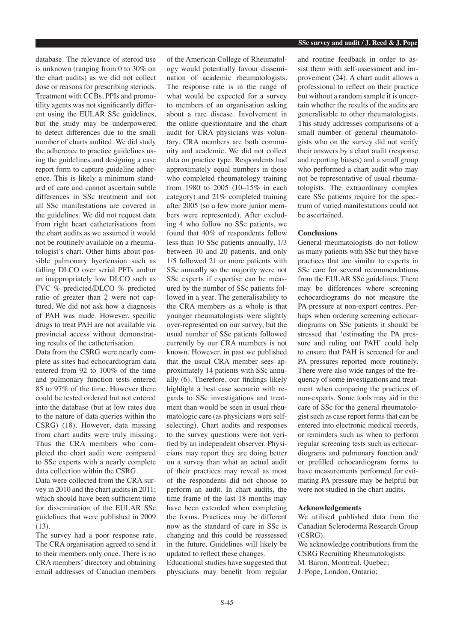database. The relevance of steroid use is unknown (ranging from 0 to 30% on the chart audits) as we did not collect dose or reasons for prescribing steriods. Treatment with CCBs, PPIs and promotility agents was not significantly different using the EULAR SSc guidelines, but the study may be underpowered to detect differences due to the small number of charts audited. We did study the adherence to practice guidelines using the guidelines and designing a case report form to capture guideline adherence. This is likely a minimum standard of care and cannot ascertain subtle differences in SSc treatment and not all SSc manifestations are covered in the guidelines. We did not request data from right heart catheterisations from the chart audits as we assumed it would not be routinely available on a rheumatologist's chart. Other hints about possible pulmonary hyertension such as falling DLCO over serial PFTs and/or an inappropriately low DLCO such as FVC % predicted/DLCO % predicted ratio of greater than 2 were not captured. We did not ask how a diagnosis of PAH was made. However, specific drugs to treat PAH are not available via provincial access without demonstrating results of the catheterisation.

Data from the CSRG were nearly complete as sites had echocardiogram data entered from 92 to 100% of the time and pulmonary function tests entered 85 to 97% of the time. However there could be tested ordered but not entered into the database (but at low rates due to the nature of data queries within the CSRG) (18). However, data missing from chart audits were truly missing. Thus the CRA members who completed the chart audit were compared to SSc experts with a nearly complete data collection within the CSRG.

Data were collected from the CRA survey in 2010 and the chart audits in 2011; which should have been sufficient time for dissemination of the EULAR SSc guidelines that were published in 2009 (13).

The survey had a poor response rate. The CRA organisation agreed to send it to their members only once. There is no CRA members' directory and obtaining email addresses of Canadian members

of the American College of Rheumatology would potentially favour dissemination of academic rheumatologists. The response rate is in the range of what would be expected for a survey to members of an organisation asking about a rare disease. Involvement in the online questionnaire and the chart audit for CRA physicians was voluntary. CRA members are both community and academic. We did not collect data on practice type. Respondents had approximately equal numbers in those who completed rheumatology training from 1980 to 2005 (10–15% in each category) and 21% completed training after 2005 (so a few more junior members were represented). After excluding 4 who follow no SSc patients, we found that 40% of respondents follow less than 10 SSc patients annually, 1/3 between 10 and 20 patients, and only 1/5 followed 21 or more patients with SSc annually so the majority were not SSc experts if expertise can be measured by the number of SSc patients followed in a year. The generalisability to the CRA members as a whole is that younger rheumatologists were slightly over-represented on our survey, but the usual number of SSc patients followed currently by our CRA members is not known. However, in past we published that the usual CRA member sees approximately 14 patients with SSc annually (6). Therefore, our findings likely highlight a best case scenario with regards to SSc investigations and treatment than would be seen in usual rheumatologic care (as physicians were selfselecting). Chart audits and responses to the survey questions were not verified by an independent observer. Physicians may report they are doing better on a survey than what an actual audit of their practices may reveal as most of the respondents did not choose to perform an audit. In chart audits, the time frame of the last 18 months may have been extended when completing the forms. Practices may be different now as the standard of care in SSc is changing and this could be reassessed in the future. Guidelines will likely be updated to reflect these changes.

Educational studies have suggested that physicians may benefit from regular

and routine feedback in order to assist them with self-assessment and improvement (24). A chart audit allows a professional to reflect on their practice but without a random sample it is uncertain whether the results of the audits are generalisable to other rheumatologists. This study addresses comparisons of a small number of general rheumatologists who on the survey did not verify their answers by a chart audit (response and reporting biases) and a small group who performed a chart audit who may not be representative of usual rheumatologists. The extraordinary complex care SSc patients require for the spectrum of varied manifestations could not be ascertained.

#### **Conclusions**

General rheumatologists do not follow as many patients with SSc but they have practices that are similar to experts in SSc care for several recommendations from the EULAR SSc guidelines. There may be differences where screening echocardiograms do not measure the PA pressure at non-expert centres. Perhaps when ordering screening echocardiograms on SSc patients it should be stressed that 'estimating the PA pressure and ruling out PAH' could help to ensure that PAH is screened for and PA pressures reported more routinely. There were also wide ranges of the frequency of some investigations and treatment when comparing the practices of non-experts. Some tools may aid in the care of SSc for the general rheumatologist such as case report forms that can be entered into electronic medical records, or reminders such as when to perform regular screening tests such as echocardiograms and pulmonary function and/ or prefilled echocardiogram forms to have measurements performed for estimating PA pressure may be helpful but were not studied in the chart audits.

#### **Acknowledgements**

We utilised published data from the Canadian Scleroderma Research Group (CSRG).

We acknowledge contributions from the CSRG Recruiting Rheumatologists: M. Baron, Montreal, Quebec; J. Pope, London, Ontario;